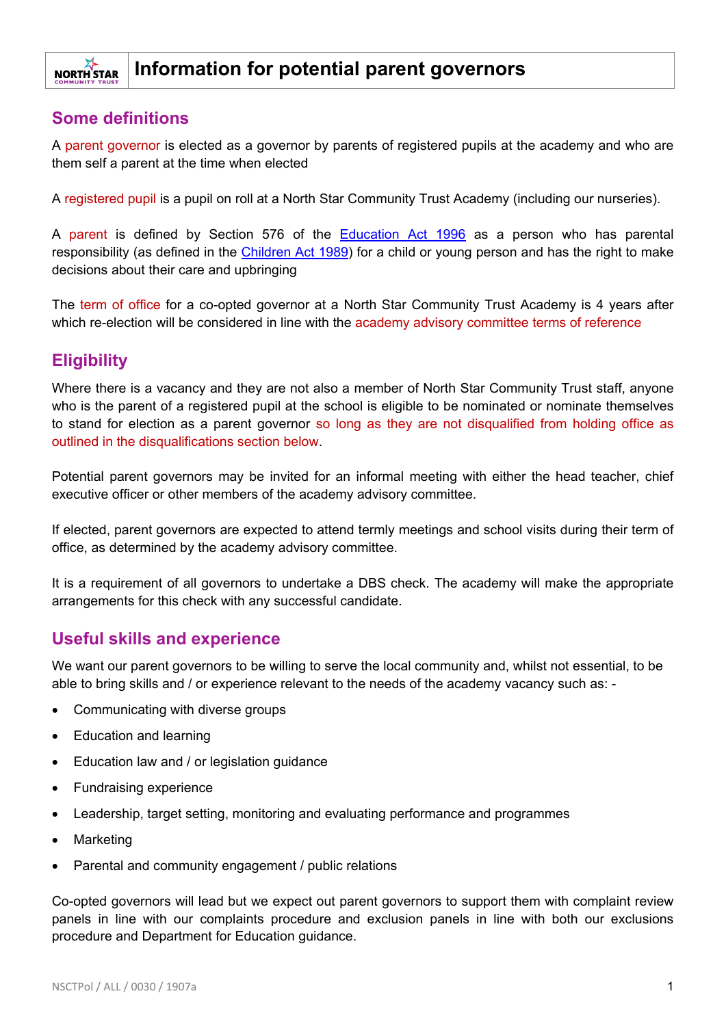#### **Information for potential parent governors NORTH STAR**

## **Some definitions**

A parent governor is elected as a governor by parents of registered pupils at the academy and who are them self a parent at the time when elected

A registered pupil is a pupil on roll at a North Star Community Trust Academy (including our nurseries).

A parent is defined by Section 576 of the [Education Act 1996](https://www.legislation.gov.uk/ukpga/1996/56/contents) as a person who has parental responsibility (as defined in the [Children Act 1989\)](https://www.legislation.gov.uk/ukpga/1989/41/contents) for a child or young person and has the right to make decisions about their care and upbringing

The term of office for a co-opted governor at a North Star Community Trust Academy is 4 years after which re-election will be considered in line with the academy advisory committee terms of reference

# **Eligibility**

Where there is a vacancy and they are not also a member of North Star Community Trust staff, anyone who is the parent of a registered pupil at the school is eligible to be nominated or nominate themselves to stand for election as a parent governor so long as they are not disqualified from holding office as outlined in the disqualifications section below.

Potential parent governors may be invited for an informal meeting with either the head teacher, chief executive officer or other members of the academy advisory committee.

If elected, parent governors are expected to attend termly meetings and school visits during their term of office, as determined by the academy advisory committee.

It is a requirement of all governors to undertake a DBS check. The academy will make the appropriate arrangements for this check with any successful candidate.

## **Useful skills and experience**

We want our parent governors to be willing to serve the local community and, whilst not essential, to be able to bring skills and / or experience relevant to the needs of the academy vacancy such as: -

- Communicating with diverse groups
- Education and learning
- Education law and / or legislation guidance
- Fundraising experience
- Leadership, target setting, monitoring and evaluating performance and programmes
- Marketing
- Parental and community engagement / public relations

Co-opted governors will lead but we expect out parent governors to support them with complaint review panels in line with our complaints procedure and exclusion panels in line with both our exclusions procedure and Department for Education guidance.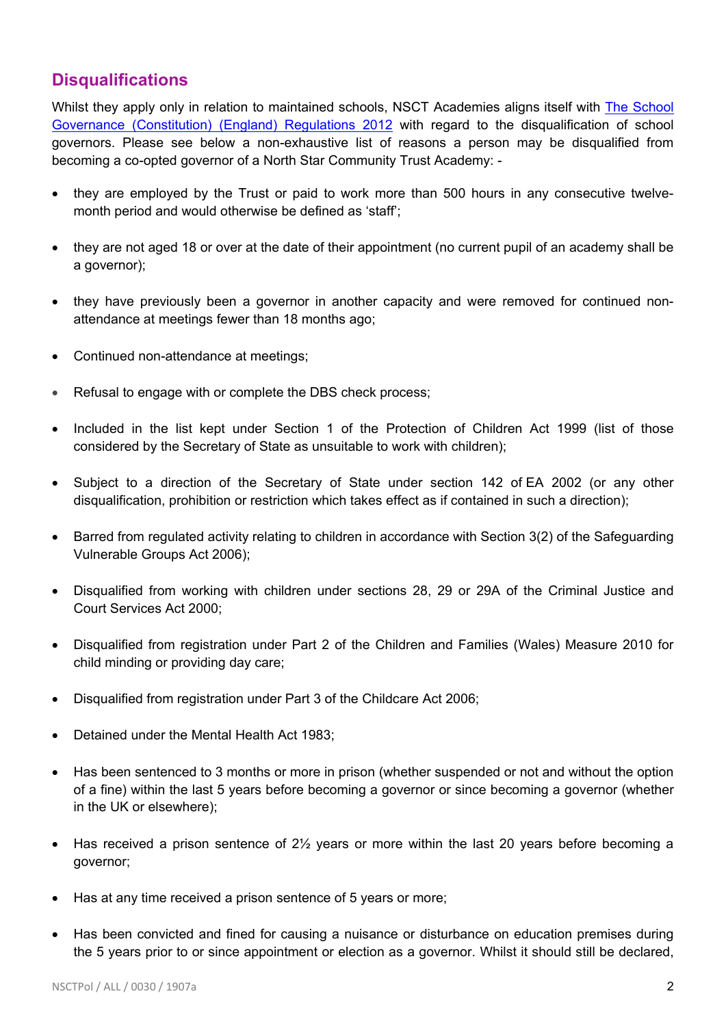## **Disqualifications**

Whilst they apply only in relation to maintained schools. NSCT Academies aligns itself with The School [Governance \(Constitution\) \(England\) Regulations 2012](http://www.legislation.gov.uk/uksi/2012/1034/schedule/4/made) with regard to the disqualification of school governors. Please see below a non-exhaustive list of reasons a person may be disqualified from becoming a co-opted governor of a North Star Community Trust Academy: -

- they are employed by the Trust or paid to work more than 500 hours in any consecutive twelvemonth period and would otherwise be defined as 'staff';
- they are not aged 18 or over at the date of their appointment (no current pupil of an academy shall be a governor);
- they have previously been a governor in another capacity and were removed for continued nonattendance at meetings fewer than 18 months ago;
- Continued non-attendance at meetings;
- Refusal to engage with or complete the DBS check process;
- Included in the list kept under Section 1 of the Protection of Children Act 1999 (list of those considered by the Secretary of State as unsuitable to work with children);
- Subject to a direction of the Secretary of State under section 142 of EA 2002 (or any other disqualification, prohibition or restriction which takes effect as if contained in such a direction);
- Barred from regulated activity relating to children in accordance with Section 3(2) of the Safeguarding Vulnerable Groups Act 2006);
- Disqualified from working with children under sections 28, 29 or 29A of the Criminal Justice and Court Services Act 2000;
- Disqualified from registration under Part 2 of the Children and Families (Wales) Measure 2010 for child minding or providing day care;
- Disqualified from registration under Part 3 of the Childcare Act 2006;
- Detained under the Mental Health Act 1983;
- Has been sentenced to 3 months or more in prison (whether suspended or not and without the option of a fine) within the last 5 years before becoming a governor or since becoming a governor (whether in the UK or elsewhere);
- Has received a prison sentence of 2<sup>1</sup>/<sub>2</sub> years or more within the last 20 years before becoming a governor;
- Has at any time received a prison sentence of 5 years or more;
- Has been convicted and fined for causing a nuisance or disturbance on education premises during the 5 years prior to or since appointment or election as a governor. Whilst it should still be declared,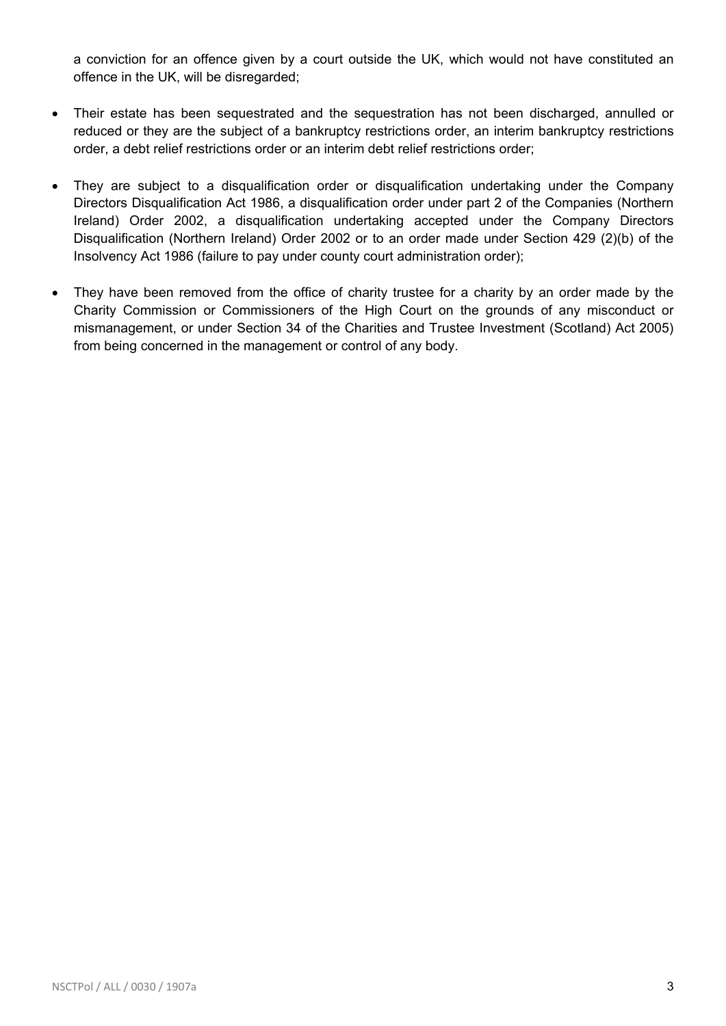a conviction for an offence given by a court outside the UK, which would not have constituted an offence in the UK, will be disregarded;

- Their estate has been sequestrated and the sequestration has not been discharged, annulled or reduced or they are the subject of a bankruptcy restrictions order, an interim bankruptcy restrictions order, a debt relief restrictions order or an interim debt relief restrictions order;
- They are subject to a disqualification order or disqualification undertaking under the Company Directors Disqualification Act 1986, a disqualification order under part 2 of the Companies (Northern Ireland) Order 2002, a disqualification undertaking accepted under the Company Directors Disqualification (Northern Ireland) Order 2002 or to an order made under Section 429 (2)(b) of the Insolvency Act 1986 (failure to pay under county court administration order);
- They have been removed from the office of charity trustee for a charity by an order made by the Charity Commission or Commissioners of the High Court on the grounds of any misconduct or mismanagement, or under Section 34 of the Charities and Trustee Investment (Scotland) Act 2005) from being concerned in the management or control of any body.